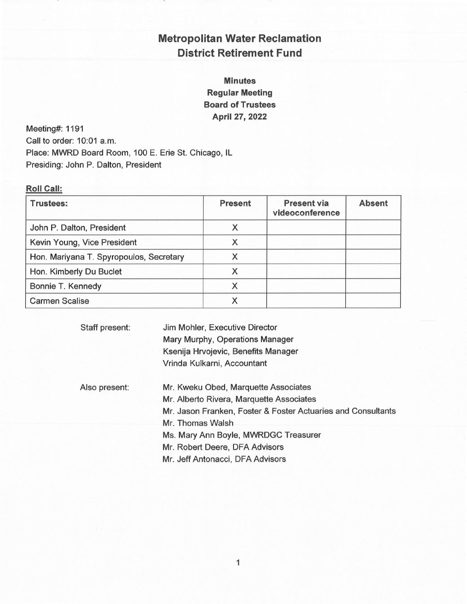# Metropolitan Water Reclamation District Retirement Fund

Minutes Regular Meeting Board of Trustees April 27, 2022

Meeting#: 1191 Call to order: 10:01 a.m. Place: MWRD Board Room, 100 E. Erie St. Chicago, IL Presiding: John P. Dalton, President

#### Roll Call:

| <b>Trustees:</b>                        | <b>Present</b> | <b>Present via</b><br>videoconference | <b>Absent</b> |
|-----------------------------------------|----------------|---------------------------------------|---------------|
| John P. Dalton, President               | X              |                                       |               |
| Kevin Young, Vice President             | X              |                                       |               |
| Hon. Mariyana T. Spyropoulos, Secretary |                |                                       |               |
| Hon. Kimberly Du Buclet                 |                |                                       |               |
| Bonnie T. Kennedy                       |                |                                       |               |
| <b>Carmen Scalise</b>                   |                |                                       |               |

Staff present: Jim Mohler, Executive Director Mary Murphy, Operations Manager Ksenija Hrvojevic, Benefits Manager Vrinda Kulkarni, Accountant

Also present: Mr. Kweku Obed, Marquette Associates Mr. Alberto Rivera, Marquette Associates Mr. Jason Franken, Foster &Foster Actuaries and Consultants Mr. Thomas Walsh Ms. Mary Ann Boyle, MWRDGC Treasurer Mr. Robert Deere, DFA Advisors Mr. Jeff Antonacci, DFA Advisors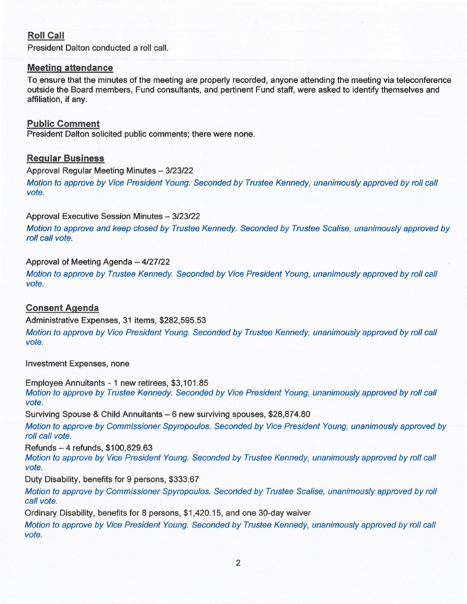## Roll Call

President Dalton conducted a roll call.

## Meeting attendance

To ensure that the minutes of the meeting are properly recorded, anyone attending the meeting via teleconference outside the Board members, Fund consultants, and pertinent Fund staff, were asked to identify themselves and affiliation, if any.

## Public Comment

President Dalton solicited public comments; there were none.

## Regular Business

Approval Regular Meeting Minutes — 3/23/22

Motion to approve by Vice President Young. Seconded by Trustee Kennedy, unanimously approved by roll call vofe.

Approval Executive Session Minutes — 3/23/22

Motion to approve and keep closed by Trusfee Kennedy. Seconded by Trustee Scalise, unanimously approved by roll call vote.

#### Approval of Meeting Agenda — 4/27/22

Motion to approve by Trustee Kennedy. Seconded by Vice President Young, unanimously approved by roll call vote.

## Consent Agenda

Administrative Expenses, 31 items, \$282,595.53

Motion to approve by Vice President Young. Seconded by Trustee Kennedy, unanimously approved by roll call vote.

Investment Expenses, none

Employee Annuitants - 1 new retirees, \$3,101.85 Motion to approve by Trustee Kennedy. Seconded by Vice President Young, unanimously approved by roll call vote.

Surviving Spouse & Child Annuitants - 6 new surviving spouses, \$28,874.80

Motion to approve by Commissioner Spyropoulos. Seconded by Vice President Young, unanimously approved by roll call vote.

Refunds — 4 refunds, \$100,829.63

Mofion to approve by Vice President Young. Seconded by Trustee Kennedy, unanimously approved by roll call vote.

Duty Disability, benefits for 9 persons, \$333.67

Motion to approve by Commissioner Spyropoulos. Seconded by Trustee Scalise, unanimously approved by roll call vote.

Ordinary Disability, benefits for 8 persons, \$1,420.15, and one 30-day waiver

Motion fo approve by Vice President Young. Seconded by Trustee Kennedy, unanimously approved by roll call vote.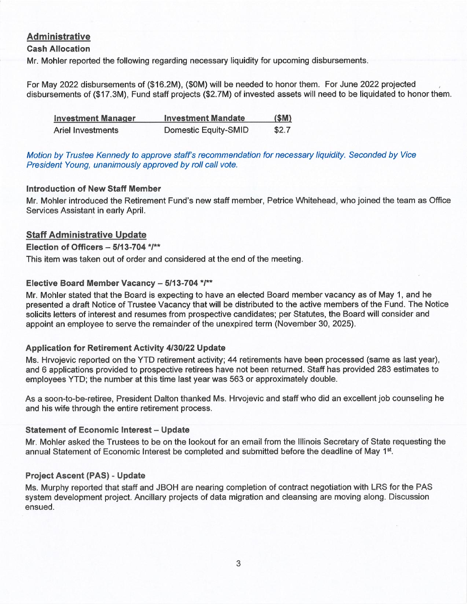## Administrative

#### Cash Allocation

Mr. Mohler reported the following regarding necessary liquidity for upcoming disbursements.

For May 2022 disbursements of (\$16.2M), (\$OM) will be needed to honor them. For June 2022 projected disbursements of (\$17.3M), Fund staff projects (\$2.7M) of invested assets will need to be liquidated to honor them.

| <b>Investment Manager</b> | <b>Investment Mandate</b>   | (SM)  |
|---------------------------|-----------------------------|-------|
| Ariel Investments         | <b>Domestic Equity-SMID</b> | \$2.7 |

Motion by Trustee Kennedy to approve staff's recommendation for necessary liquidity. Seconded by Vice President Young, unanimously approved by roll call vofe.

#### Introduction of New Staff Member

Mr. Mohler introduced the Retirement Fund's new staff member, Petrice Whitehead, who joined the team as Office Services Assistant in early April.

## Staff Administrative Update

#### Election of Officers  $-5/13-704$  \*/\*\*

This item was taken out of order and considered at the end of the meeting.

#### Elective Board Member Vacancy — 5/13-704 \*/\*\*

Mr. Mohler stated that the Board is expecting to have an elected Board member vacancy as of May 1, and he presented a draft Notice of Trustee Vacancy that will be distributed to the active members of the Fund. The Notice solicits letters of interest and resumes from prospective candidates; per Statutes, the Board will consider and appoint an employee to serve the remainder of the unexpired term (November 30, 2025).

## Application for Retirement Activity 4/30/22 Update

Ms. Hrvojevic reported on the YTD retirement activity; 44 retirements have been processed (same as last year), and 6 applications provided to prospective retirees have not been returned. Staff has provided 283 estimates to employees YTD; the number at this time last year was 563 or approximately double.

As asoon-to-be-retiree, President Dalton thanked Ms. Hrvojevic and staff who did an excellent job counseling he and his wife through the entire retirement process.

#### **Statement of Economic Interest - Update**

Mr. Mohler asked the Trustees to be on the lookout for an email from the Illinois Secretary of State requesting the annual Statement of Economic Interest be completed and submitted before the deadline of May 1<sup>st</sup>.

## Project Ascent (PAS) - Update

Ms. Murphy reported that staff and JBOH are nearing completion of contract negotiation with LRS for the PAS system development project. Ancillary projects of data migration and cleansing are moving along. Discussion ensued.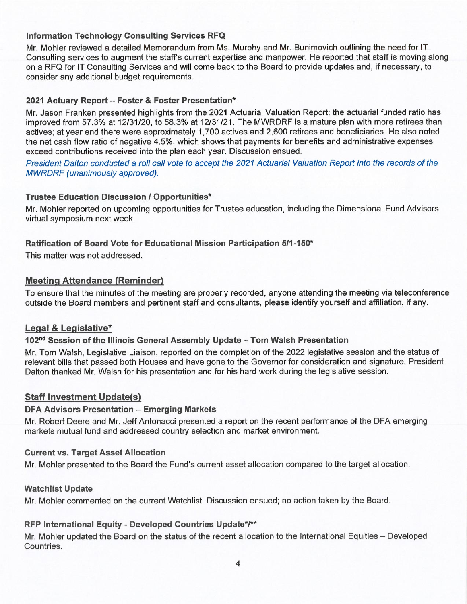## Information Technology Consulting Services RFQ

Mr. Mohler reviewed a detailed Memorandum from Ms. Murphy and Mr. Bunimovich outlining the need for IT Consulting services to augment the staff's current expertise and manpower. He reported that staff is moving along on a RFQ for IT Consulting Services and will come back to the Board to provide updates and, if necessary, to consider any additional budget requirements.

#### 2021 Actuary Report - Foster & Foster Presentation\*

Mr. Jason Franken presented highlights from the 2021 Actuarial Valuation Report; the actuarial funded ratio has improved from 57.3% at 12/31/20, to 58.3% at 12/31/21. The MWRDRF is a mature plan with more retirees than actives; at year end there were approximately 1,700 actives and 2,600 retirees and beneficiaries. He also noted the net cash flow ratio of negative 4.5%, which shows that payments for benefits and administrative expenses exceed contributions received into the plan each year. Discussion ensued.

President Dalton conducted a roll call vote to accept the 2021 Actuarial Valuation Report into the records of the MWRDRF (unanimously approved).

#### Trustee Education Discussion / Opportunities\*

Mr. Mohler reported on upcoming opportunities for Trustee education, including the Dimensional Fund Advisors virtual symposium next week.

#### Ratification of Board Vote for Educational Mission Participation 5/1-150\*

This matter was not addressed.

#### Meeting Attendance (Reminder)

To ensure that the minutes of the meeting are properly recorded, anyone attending the meeting via teleconference outside the Board members and pertinent staff and consultants, please identify yourself and affiliation, if any.

#### Legal & Legislative\*

#### 102"d Session of the Illinois General Assembly Update —Tom Walsh Presentation

Mr. Tom Walsh, Legislative Liaison, reported on the completion of the 2022 legislative session and the status of relevant bills that passed both Houses and have gone to the Governor for consideration and signature. President Dalton thanked Mr. Walsh for his presentation and for his hard work during the legislative session.

#### **Staff Investment Update(s)**

#### DFA Advisors Presentation —Emerging Markets

Mr. Robert Deere and Mr. Jeff Antonacci presented a report on the recent performance of the DFA emerging markets mutual fund and addressed country selection and market environment.

#### Current vs. Target Asset Allocation

Mr. Mohler presented to the Board the Fund's current asset allocation compared to the target allocation.

#### Watchlist Update

Mr. Mohler commented on the current Watchlist. Discussion ensued; no action taken by the Board.

#### RFP International Equity - Developed Countries Update\*/\*\*

Mr. Mohler updated the Board on the status of the recent allocation to the International Equities —Developed Countries.